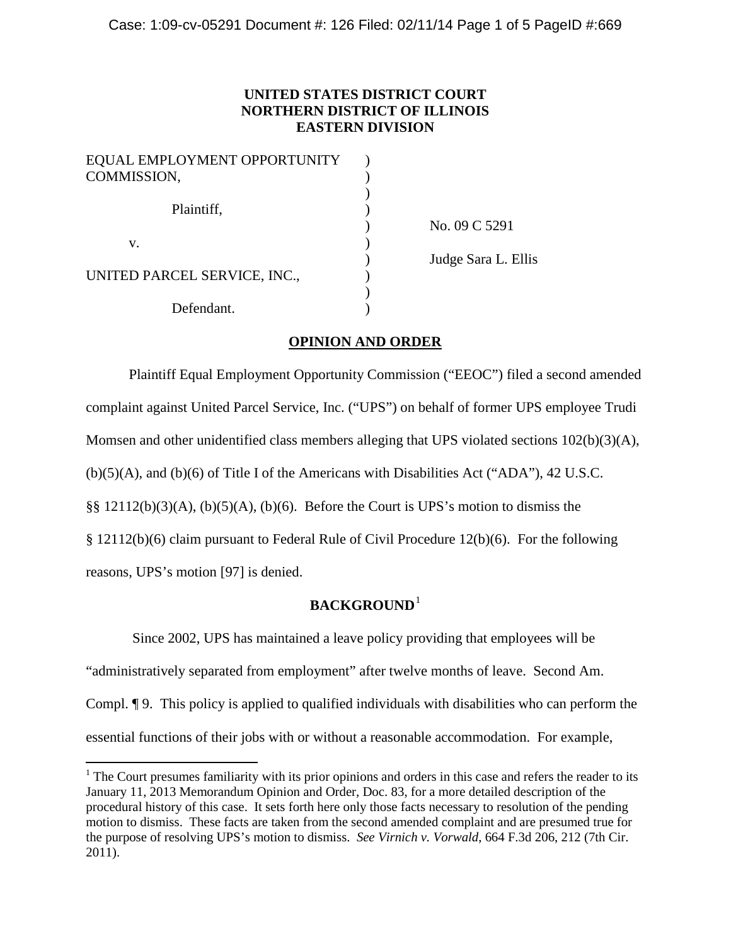## **UNITED STATES DISTRICT COURT NORTHERN DISTRICT OF ILLINOIS EASTERN DIVISION**

| EQUAL EMPLOYMENT OPPORTUNITY |  |
|------------------------------|--|
| COMMISSION,                  |  |
| Plaintiff,                   |  |
| V.                           |  |
| UNITED PARCEL SERVICE, INC., |  |
| Defendant.                   |  |

) No. 09 C 5291 ) Judge Sara L. Ellis

## **OPINION AND ORDER**

Plaintiff Equal Employment Opportunity Commission ("EEOC") filed a second amended complaint against United Parcel Service, Inc. ("UPS") on behalf of former UPS employee Trudi Momsen and other unidentified class members alleging that UPS violated sections 102(b)(3)(A),  $(b)(5)(A)$ , and  $(b)(6)$  of Title I of the Americans with Disabilities Act ("ADA"), 42 U.S.C.  $\S$ § 12112(b)(3)(A), (b)(5)(A), (b)(6). Before the Court is UPS's motion to dismiss the § 12112(b)(6) claim pursuant to Federal Rule of Civil Procedure 12(b)(6). For the following reasons, UPS's motion [97] is denied.

## **BACKGROUND**[1](#page-0-0)

Since 2002, UPS has maintained a leave policy providing that employees will be "administratively separated from employment" after twelve months of leave. Second Am. Compl. ¶ 9. This policy is applied to qualified individuals with disabilities who can perform the essential functions of their jobs with or without a reasonable accommodation. For example,

<span id="page-0-0"></span> $1$  The Court presumes familiarity with its prior opinions and orders in this case and refers the reader to its January 11, 2013 Memorandum Opinion and Order, Doc. 83, for a more detailed description of the procedural history of this case. It sets forth here only those facts necessary to resolution of the pending motion to dismiss. These facts are taken from the second amended complaint and are presumed true for the purpose of resolving UPS's motion to dismiss. *See Virnich v. Vorwald*, 664 F.3d 206, 212 (7th Cir. 2011).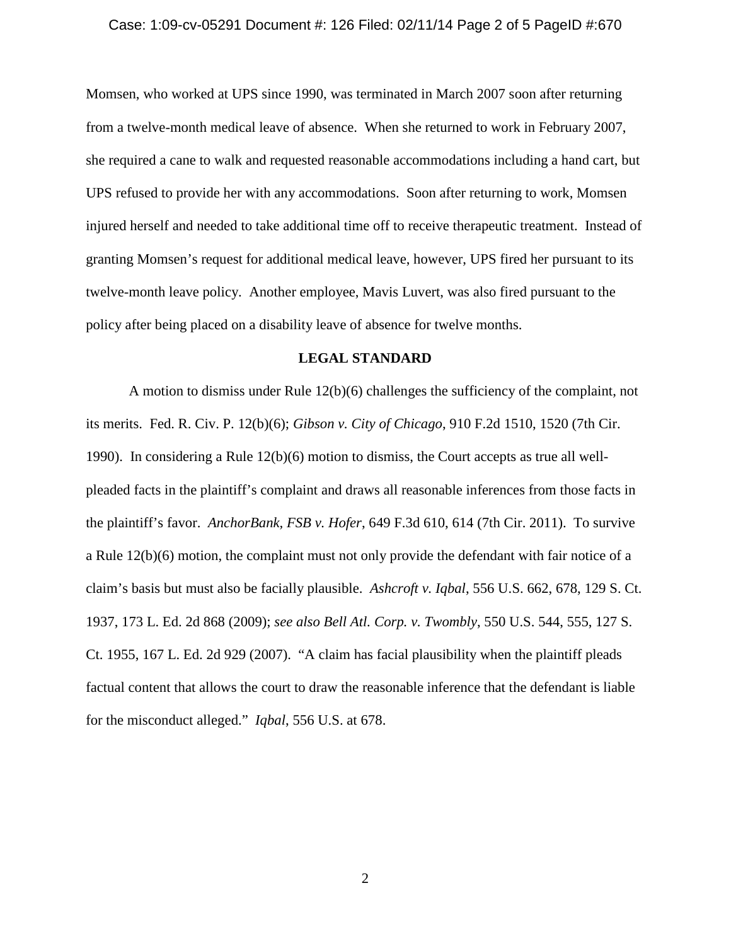#### Case: 1:09-cv-05291 Document #: 126 Filed: 02/11/14 Page 2 of 5 PageID #:670

Momsen, who worked at UPS since 1990, was terminated in March 2007 soon after returning from a twelve-month medical leave of absence. When she returned to work in February 2007, she required a cane to walk and requested reasonable accommodations including a hand cart, but UPS refused to provide her with any accommodations. Soon after returning to work, Momsen injured herself and needed to take additional time off to receive therapeutic treatment. Instead of granting Momsen's request for additional medical leave, however, UPS fired her pursuant to its twelve-month leave policy. Another employee, Mavis Luvert, was also fired pursuant to the policy after being placed on a disability leave of absence for twelve months.

#### **LEGAL STANDARD**

A motion to dismiss under Rule 12(b)(6) challenges the sufficiency of the complaint, not its merits. Fed. R. Civ. P. 12(b)(6); *Gibson v. City of Chicago*, 910 F.2d 1510, 1520 (7th Cir. 1990). In considering a Rule 12(b)(6) motion to dismiss, the Court accepts as true all wellpleaded facts in the plaintiff's complaint and draws all reasonable inferences from those facts in the plaintiff's favor. *AnchorBank, FSB v. Hofer*, 649 F.3d 610, 614 (7th Cir. 2011). To survive a Rule 12(b)(6) motion, the complaint must not only provide the defendant with fair notice of a claim's basis but must also be facially plausible. *Ashcroft v. Iqbal*, 556 U.S. 662, 678, 129 S. Ct. 1937, 173 L. Ed. 2d 868 (2009); *see also Bell Atl. Corp. v. Twombly*, 550 U.S. 544, 555, 127 S. Ct. 1955, 167 L. Ed. 2d 929 (2007). "A claim has facial plausibility when the plaintiff pleads factual content that allows the court to draw the reasonable inference that the defendant is liable for the misconduct alleged." *Iqbal*, 556 U.S. at 678.

2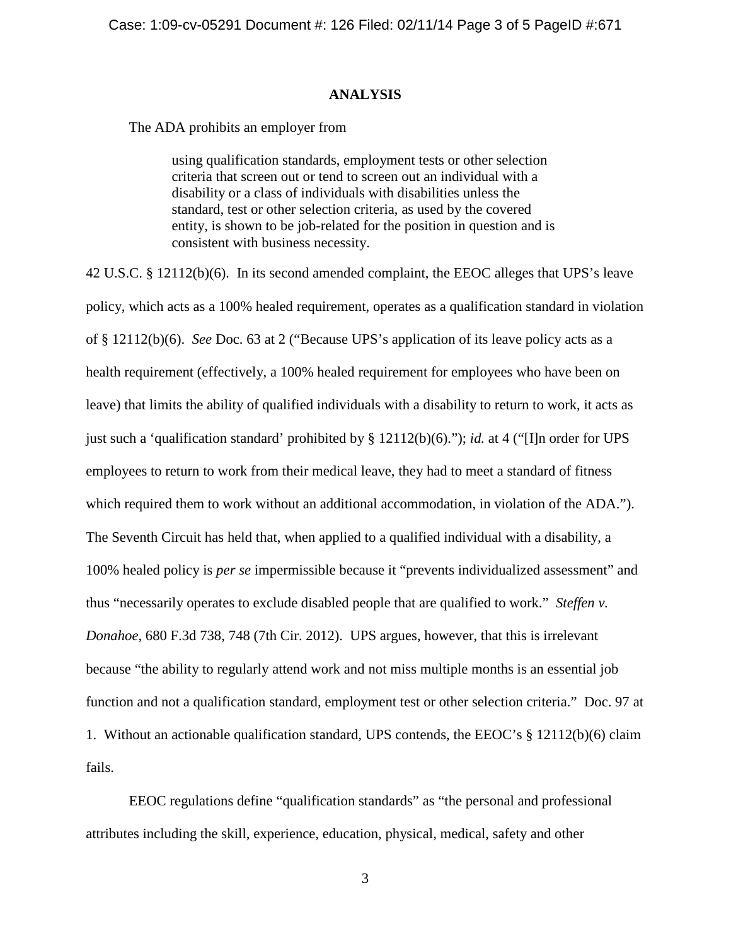### **ANALYSIS**

The ADA prohibits an employer from

using qualification standards, employment tests or other selection criteria that screen out or tend to screen out an individual with a disability or a class of individuals with disabilities unless the standard, test or other selection criteria, as used by the covered entity, is shown to be job-related for the position in question and is consistent with business necessity.

42 U.S.C. § 12112(b)(6). In its second amended complaint, the EEOC alleges that UPS's leave policy, which acts as a 100% healed requirement, operates as a qualification standard in violation of § 12112(b)(6). *See* Doc. 63 at 2 ("Because UPS's application of its leave policy acts as a health requirement (effectively, a 100% healed requirement for employees who have been on leave) that limits the ability of qualified individuals with a disability to return to work, it acts as just such a 'qualification standard' prohibited by § 12112(b)(6)."); *id.* at 4 ("[I]n order for UPS employees to return to work from their medical leave, they had to meet a standard of fitness which required them to work without an additional accommodation, in violation of the ADA."). The Seventh Circuit has held that, when applied to a qualified individual with a disability, a 100% healed policy is *per se* impermissible because it "prevents individualized assessment" and thus "necessarily operates to exclude disabled people that are qualified to work." *Steffen v. Donahoe*, 680 F.3d 738, 748 (7th Cir. 2012). UPS argues, however, that this is irrelevant because "the ability to regularly attend work and not miss multiple months is an essential job function and not a qualification standard, employment test or other selection criteria." Doc. 97 at 1. Without an actionable qualification standard, UPS contends, the EEOC's § 12112(b)(6) claim fails.

EEOC regulations define "qualification standards" as "the personal and professional attributes including the skill, experience, education, physical, medical, safety and other

3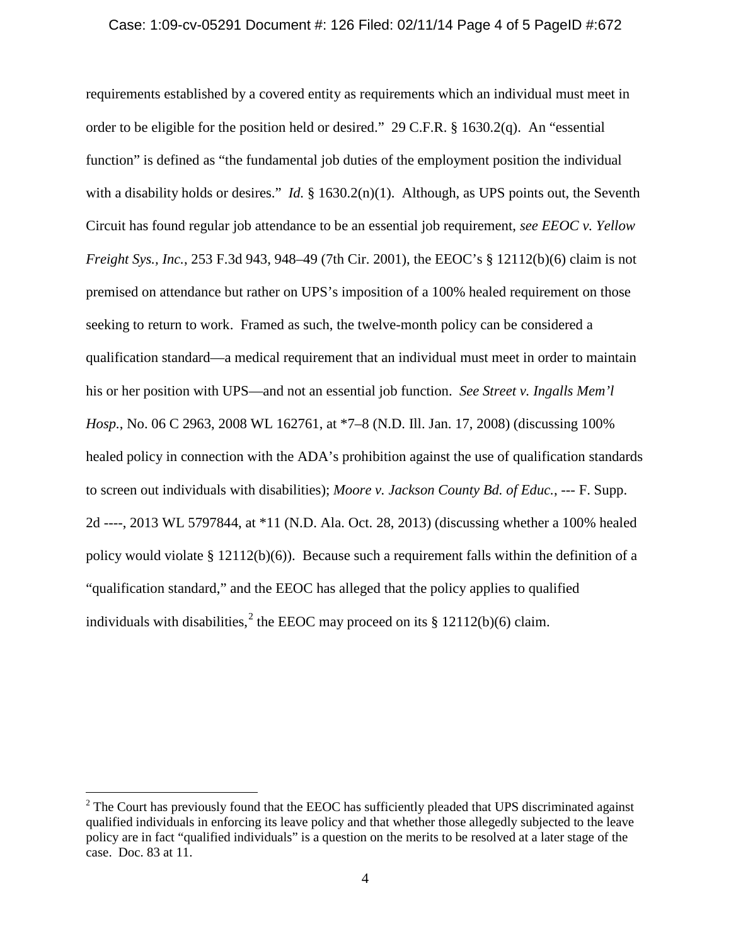#### Case: 1:09-cv-05291 Document #: 126 Filed: 02/11/14 Page 4 of 5 PageID #:672

requirements established by a covered entity as requirements which an individual must meet in order to be eligible for the position held or desired." 29 C.F.R. § 1630.2(q). An "essential function" is defined as "the fundamental job duties of the employment position the individual with a disability holds or desires." *Id.* § 1630.2(n)(1). Although, as UPS points out, the Seventh Circuit has found regular job attendance to be an essential job requirement, *see EEOC v. Yellow Freight Sys., Inc.*, 253 F.3d 943, 948–49 (7th Cir. 2001), the EEOC's § 12112(b)(6) claim is not premised on attendance but rather on UPS's imposition of a 100% healed requirement on those seeking to return to work. Framed as such, the twelve-month policy can be considered a qualification standard—a medical requirement that an individual must meet in order to maintain his or her position with UPS—and not an essential job function. *See Street v. Ingalls Mem'l Hosp.*, No. 06 C 2963, 2008 WL 162761, at \*7–8 (N.D. Ill. Jan. 17, 2008) (discussing 100% healed policy in connection with the ADA's prohibition against the use of qualification standards to screen out individuals with disabilities); *Moore v. Jackson County Bd. of Educ.*, --- F. Supp. 2d ----, 2013 WL 5797844, at \*11 (N.D. Ala. Oct. 28, 2013) (discussing whether a 100% healed policy would violate  $\S 12112(b)(6)$ . Because such a requirement falls within the definition of a "qualification standard," and the EEOC has alleged that the policy applies to qualified individuals with disabilities,<sup>[2](#page-3-0)</sup> the EEOC may proceed on its  $\S$  12112(b)(6) claim.

<span id="page-3-0"></span><sup>&</sup>lt;sup>2</sup> The Court has previously found that the EEOC has sufficiently pleaded that UPS discriminated against qualified individuals in enforcing its leave policy and that whether those allegedly subjected to the leave policy are in fact "qualified individuals" is a question on the merits to be resolved at a later stage of the case. Doc. 83 at 11.